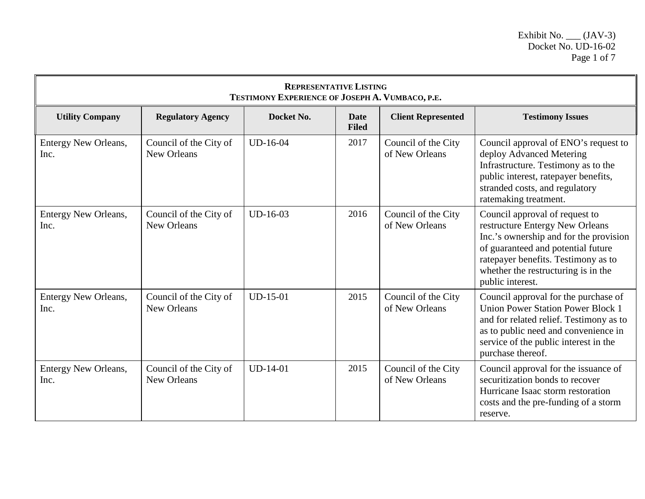| <b>REPRESENTATIVE LISTING</b><br>TESTIMONY EXPERIENCE OF JOSEPH A. VUMBACO, P.E. |                                              |            |                             |                                       |                                                                                                                                                                                                                                                     |  |
|----------------------------------------------------------------------------------|----------------------------------------------|------------|-----------------------------|---------------------------------------|-----------------------------------------------------------------------------------------------------------------------------------------------------------------------------------------------------------------------------------------------------|--|
| <b>Utility Company</b>                                                           | <b>Regulatory Agency</b>                     | Docket No. | <b>Date</b><br><b>Filed</b> | <b>Client Represented</b>             | <b>Testimony Issues</b>                                                                                                                                                                                                                             |  |
| Entergy New Orleans,<br>Inc.                                                     | Council of the City of<br><b>New Orleans</b> | $UD-16-04$ | 2017                        | Council of the City<br>of New Orleans | Council approval of ENO's request to<br>deploy Advanced Metering<br>Infrastructure. Testimony as to the<br>public interest, ratepayer benefits,<br>stranded costs, and regulatory<br>ratemaking treatment.                                          |  |
| Entergy New Orleans,<br>Inc.                                                     | Council of the City of<br><b>New Orleans</b> | $UD-16-03$ | 2016                        | Council of the City<br>of New Orleans | Council approval of request to<br>restructure Entergy New Orleans<br>Inc.'s ownership and for the provision<br>of guaranteed and potential future<br>ratepayer benefits. Testimony as to<br>whether the restructuring is in the<br>public interest. |  |
| Entergy New Orleans,<br>Inc.                                                     | Council of the City of<br><b>New Orleans</b> | $UD-15-01$ | 2015                        | Council of the City<br>of New Orleans | Council approval for the purchase of<br><b>Union Power Station Power Block 1</b><br>and for related relief. Testimony as to<br>as to public need and convenience in<br>service of the public interest in the<br>purchase thereof.                   |  |
| Entergy New Orleans,<br>Inc.                                                     | Council of the City of<br><b>New Orleans</b> | $UD-14-01$ | 2015                        | Council of the City<br>of New Orleans | Council approval for the issuance of<br>securitization bonds to recover<br>Hurricane Isaac storm restoration<br>costs and the pre-funding of a storm<br>reserve.                                                                                    |  |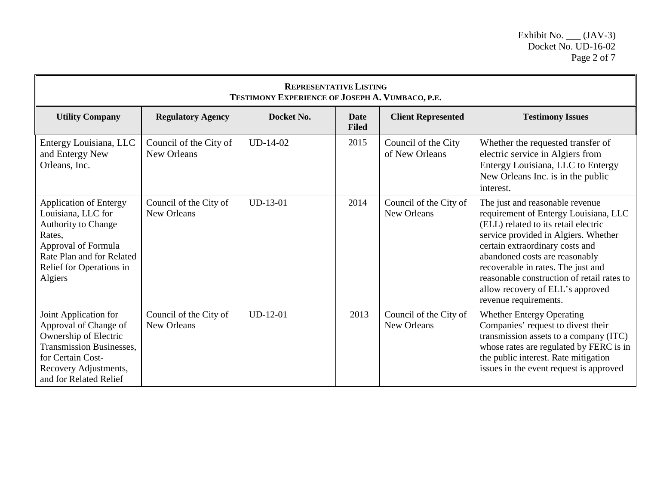| <b>REPRESENTATIVE LISTING</b><br>TESTIMONY EXPERIENCE OF JOSEPH A. VUMBACO, P.E.                                                                                                       |                                       |            |                             |                                       |                                                                                                                                                                                                                                                                                                                                                                                |  |
|----------------------------------------------------------------------------------------------------------------------------------------------------------------------------------------|---------------------------------------|------------|-----------------------------|---------------------------------------|--------------------------------------------------------------------------------------------------------------------------------------------------------------------------------------------------------------------------------------------------------------------------------------------------------------------------------------------------------------------------------|--|
| <b>Utility Company</b>                                                                                                                                                                 | <b>Regulatory Agency</b>              | Docket No. | <b>Date</b><br><b>Filed</b> | <b>Client Represented</b>             | <b>Testimony Issues</b>                                                                                                                                                                                                                                                                                                                                                        |  |
| Entergy Louisiana, LLC<br>and Entergy New<br>Orleans, Inc.                                                                                                                             | Council of the City of<br>New Orleans | $UD-14-02$ | 2015                        | Council of the City<br>of New Orleans | Whether the requested transfer of<br>electric service in Algiers from<br>Entergy Louisiana, LLC to Entergy<br>New Orleans Inc. is in the public<br>interest.                                                                                                                                                                                                                   |  |
| <b>Application of Entergy</b><br>Louisiana, LLC for<br><b>Authority to Change</b><br>Rates,<br>Approval of Formula<br>Rate Plan and for Related<br>Relief for Operations in<br>Algiers | Council of the City of<br>New Orleans | $UD-13-01$ | 2014                        | Council of the City of<br>New Orleans | The just and reasonable revenue<br>requirement of Entergy Louisiana, LLC<br>(ELL) related to its retail electric<br>service provided in Algiers. Whether<br>certain extraordinary costs and<br>abandoned costs are reasonably<br>recoverable in rates. The just and<br>reasonable construction of retail rates to<br>allow recovery of ELL's approved<br>revenue requirements. |  |
| Joint Application for<br>Approval of Change of<br>Ownership of Electric<br><b>Transmission Businesses,</b><br>for Certain Cost-<br>Recovery Adjustments,<br>and for Related Relief     | Council of the City of<br>New Orleans | $UD-12-01$ | 2013                        | Council of the City of<br>New Orleans | <b>Whether Entergy Operating</b><br>Companies' request to divest their<br>transmission assets to a company (ITC)<br>whose rates are regulated by FERC is in<br>the public interest. Rate mitigation<br>issues in the event request is approved                                                                                                                                 |  |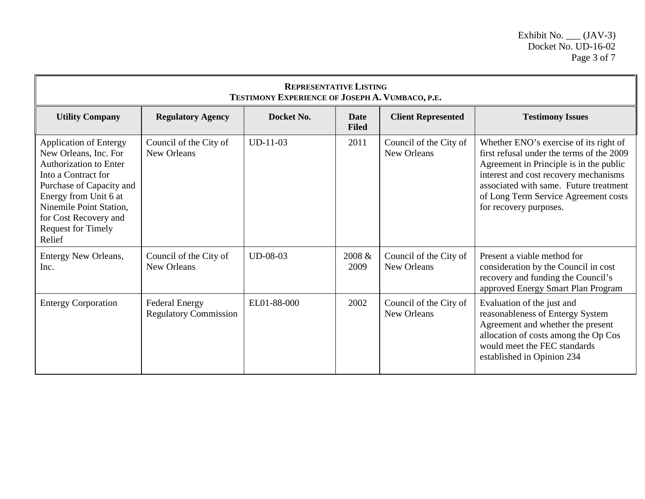| <b>REPRESENTATIVE LISTING</b><br>TESTIMONY EXPERIENCE OF JOSEPH A. VUMBACO, P.E.                                                                                                                                                                               |                                                       |             |                      |                                       |                                                                                                                                                                                                                                                                                     |  |
|----------------------------------------------------------------------------------------------------------------------------------------------------------------------------------------------------------------------------------------------------------------|-------------------------------------------------------|-------------|----------------------|---------------------------------------|-------------------------------------------------------------------------------------------------------------------------------------------------------------------------------------------------------------------------------------------------------------------------------------|--|
| <b>Utility Company</b>                                                                                                                                                                                                                                         | <b>Regulatory Agency</b>                              | Docket No.  | Date<br><b>Filed</b> | <b>Client Represented</b>             | <b>Testimony Issues</b>                                                                                                                                                                                                                                                             |  |
| <b>Application of Entergy</b><br>New Orleans, Inc. For<br><b>Authorization to Enter</b><br>Into a Contract for<br>Purchase of Capacity and<br>Energy from Unit 6 at<br>Ninemile Point Station,<br>for Cost Recovery and<br><b>Request for Timely</b><br>Relief | Council of the City of<br>New Orleans                 | $UD-11-03$  | 2011                 | Council of the City of<br>New Orleans | Whether ENO's exercise of its right of<br>first refusal under the terms of the 2009<br>Agreement in Principle is in the public<br>interest and cost recovery mechanisms<br>associated with same. Future treatment<br>of Long Term Service Agreement costs<br>for recovery purposes. |  |
| Entergy New Orleans,<br>Inc.                                                                                                                                                                                                                                   | Council of the City of<br>New Orleans                 | UD-08-03    | 2008 &<br>2009       | Council of the City of<br>New Orleans | Present a viable method for<br>consideration by the Council in cost<br>recovery and funding the Council's<br>approved Energy Smart Plan Program                                                                                                                                     |  |
| <b>Entergy Corporation</b>                                                                                                                                                                                                                                     | <b>Federal Energy</b><br><b>Regulatory Commission</b> | EL01-88-000 | 2002                 | Council of the City of<br>New Orleans | Evaluation of the just and<br>reasonableness of Entergy System<br>Agreement and whether the present<br>allocation of costs among the Op Cos<br>would meet the FEC standards<br>established in Opinion 234                                                                           |  |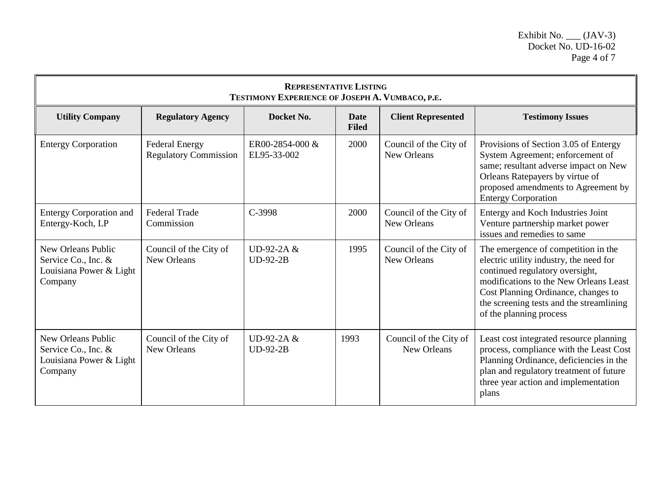| <b>REPRESENTATIVE LISTING</b><br>TESTIMONY EXPERIENCE OF JOSEPH A. VUMBACO, P.E. |                                                       |                                |                      |                                       |                                                                                                                                                                                                                                                                           |  |
|----------------------------------------------------------------------------------|-------------------------------------------------------|--------------------------------|----------------------|---------------------------------------|---------------------------------------------------------------------------------------------------------------------------------------------------------------------------------------------------------------------------------------------------------------------------|--|
| <b>Utility Company</b>                                                           | <b>Regulatory Agency</b>                              | Docket No.                     | Date<br><b>Filed</b> | <b>Client Represented</b>             | <b>Testimony Issues</b>                                                                                                                                                                                                                                                   |  |
| <b>Entergy Corporation</b>                                                       | <b>Federal Energy</b><br><b>Regulatory Commission</b> | ER00-2854-000 &<br>EL95-33-002 | 2000                 | Council of the City of<br>New Orleans | Provisions of Section 3.05 of Entergy<br>System Agreement; enforcement of<br>same; resultant adverse impact on New<br>Orleans Ratepayers by virtue of<br>proposed amendments to Agreement by<br><b>Entergy Corporation</b>                                                |  |
| <b>Entergy Corporation and</b><br>Entergy-Koch, LP                               | <b>Federal Trade</b><br>Commission                    | C-3998                         | 2000                 | Council of the City of<br>New Orleans | Entergy and Koch Industries Joint<br>Venture partnership market power<br>issues and remedies to same                                                                                                                                                                      |  |
| New Orleans Public<br>Service Co., Inc. &<br>Louisiana Power & Light<br>Company  | Council of the City of<br>New Orleans                 | UD-92-2A &<br>$UD-92-2B$       | 1995                 | Council of the City of<br>New Orleans | The emergence of competition in the<br>electric utility industry, the need for<br>continued regulatory oversight,<br>modifications to the New Orleans Least<br>Cost Planning Ordinance, changes to<br>the screening tests and the streamlining<br>of the planning process |  |
| New Orleans Public<br>Service Co., Inc. &<br>Louisiana Power & Light<br>Company  | Council of the City of<br>New Orleans                 | UD-92-2A &<br>$UD-92-2B$       | 1993                 | Council of the City of<br>New Orleans | Least cost integrated resource planning<br>process, compliance with the Least Cost<br>Planning Ordinance, deficiencies in the<br>plan and regulatory treatment of future<br>three year action and implementation<br>plans                                                 |  |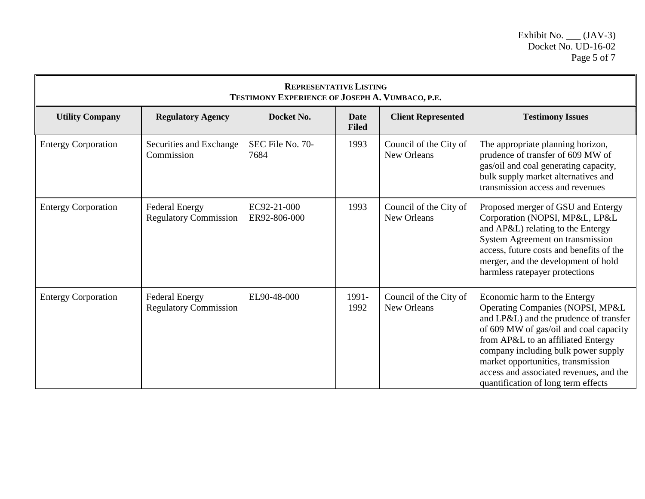| <b>REPRESENTATIVE LISTING</b><br>TESTIMONY EXPERIENCE OF JOSEPH A. VUMBACO, P.E. |                                                       |                             |                             |                                       |                                                                                                                                                                                                                                                                                                                                                           |  |
|----------------------------------------------------------------------------------|-------------------------------------------------------|-----------------------------|-----------------------------|---------------------------------------|-----------------------------------------------------------------------------------------------------------------------------------------------------------------------------------------------------------------------------------------------------------------------------------------------------------------------------------------------------------|--|
| <b>Utility Company</b>                                                           | <b>Regulatory Agency</b>                              | Docket No.                  | <b>Date</b><br><b>Filed</b> | <b>Client Represented</b>             | <b>Testimony Issues</b>                                                                                                                                                                                                                                                                                                                                   |  |
| <b>Entergy Corporation</b>                                                       | Securities and Exchange<br>Commission                 | SEC File No. 70-<br>7684    | 1993                        | Council of the City of<br>New Orleans | The appropriate planning horizon,<br>prudence of transfer of 609 MW of<br>gas/oil and coal generating capacity,<br>bulk supply market alternatives and<br>transmission access and revenues                                                                                                                                                                |  |
| <b>Entergy Corporation</b>                                                       | <b>Federal Energy</b><br><b>Regulatory Commission</b> | EC92-21-000<br>ER92-806-000 | 1993                        | Council of the City of<br>New Orleans | Proposed merger of GSU and Entergy<br>Corporation (NOPSI, MP&L, LP&L<br>and AP&L) relating to the Entergy<br>System Agreement on transmission<br>access, future costs and benefits of the<br>merger, and the development of hold<br>harmless ratepayer protections                                                                                        |  |
| <b>Entergy Corporation</b>                                                       | <b>Federal Energy</b><br><b>Regulatory Commission</b> | EL90-48-000                 | 1991-<br>1992               | Council of the City of<br>New Orleans | Economic harm to the Entergy<br>Operating Companies (NOPSI, MP&L<br>and LP&L) and the prudence of transfer<br>of 609 MW of gas/oil and coal capacity<br>from AP&L to an affiliated Entergy<br>company including bulk power supply<br>market opportunities, transmission<br>access and associated revenues, and the<br>quantification of long term effects |  |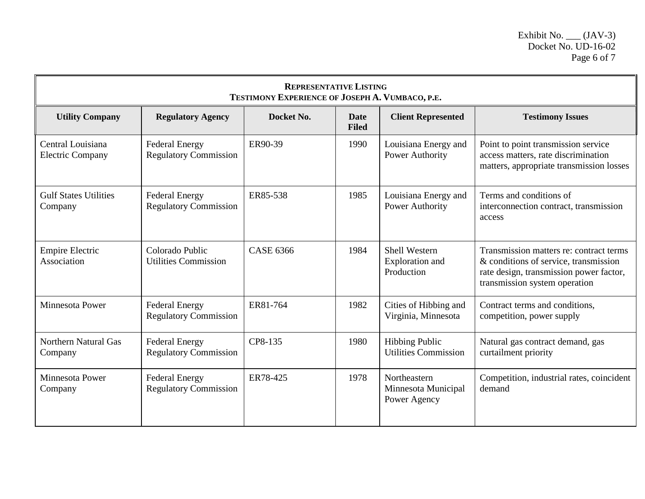| <b>REPRESENTATIVE LISTING</b><br>TESTIMONY EXPERIENCE OF JOSEPH A. VUMBACO, P.E. |                                                       |                  |                             |                                                       |                                                                                                                                                              |  |
|----------------------------------------------------------------------------------|-------------------------------------------------------|------------------|-----------------------------|-------------------------------------------------------|--------------------------------------------------------------------------------------------------------------------------------------------------------------|--|
| <b>Utility Company</b>                                                           | <b>Regulatory Agency</b>                              | Docket No.       | <b>Date</b><br><b>Filed</b> | <b>Client Represented</b>                             | <b>Testimony Issues</b>                                                                                                                                      |  |
| Central Louisiana<br><b>Electric Company</b>                                     | <b>Federal Energy</b><br><b>Regulatory Commission</b> | ER90-39          | 1990                        | Louisiana Energy and<br>Power Authority               | Point to point transmission service<br>access matters, rate discrimination<br>matters, appropriate transmission losses                                       |  |
| <b>Gulf States Utilities</b><br>Company                                          | <b>Federal Energy</b><br><b>Regulatory Commission</b> | ER85-538         | 1985                        | Louisiana Energy and<br>Power Authority               | Terms and conditions of<br>interconnection contract, transmission<br>access                                                                                  |  |
| <b>Empire Electric</b><br>Association                                            | Colorado Public<br><b>Utilities Commission</b>        | <b>CASE 6366</b> | 1984                        | <b>Shell Western</b><br>Exploration and<br>Production | Transmission matters re: contract terms<br>& conditions of service, transmission<br>rate design, transmission power factor,<br>transmission system operation |  |
| <b>Minnesota Power</b>                                                           | <b>Federal Energy</b><br><b>Regulatory Commission</b> | ER81-764         | 1982                        | Cities of Hibbing and<br>Virginia, Minnesota          | Contract terms and conditions,<br>competition, power supply                                                                                                  |  |
| <b>Northern Natural Gas</b><br>Company                                           | <b>Federal Energy</b><br><b>Regulatory Commission</b> | CP8-135          | 1980                        | <b>Hibbing Public</b><br><b>Utilities Commission</b>  | Natural gas contract demand, gas<br>curtailment priority                                                                                                     |  |
| Minnesota Power<br>Company                                                       | <b>Federal Energy</b><br><b>Regulatory Commission</b> | ER78-425         | 1978                        | Northeastern<br>Minnesota Municipal<br>Power Agency   | Competition, industrial rates, coincident<br>demand                                                                                                          |  |